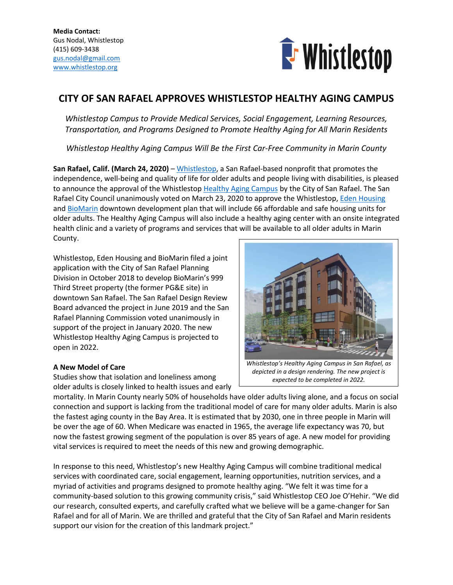

# **CITY OF SAN RAFAEL APPROVES WHISTLESTOP HEALTHY AGING CAMPUS**

*Whistlestop Campus to Provide Medical Services, Social Engagement, Learning Resources, Transportation, and Programs Designed to Promote Healthy Aging for All Marin Residents*

*Whistlestop Healthy Aging Campus Will Be the First Car-Free Community in Marin County* 

**San Rafael, Calif. (March 24, 2020)** – [Whistlestop,](https://whistlestop.org/) a San Rafael-based nonprofit that promotes the independence, well-being and quality of life for older adults and people living with disabilities, is pleased to announce the approval of the Whistlestop [Healthy Aging Campus](https://www.healthyagingcampus.org/) by the City of San Rafael. The San Rafael City Council unanimously voted on March 23, 2020 to approve the Whistlestop[, Eden Housing](https://www.edenhousing.org/) and [BioMarin](https://www.biomarin.com/) downtown development plan that will include 66 affordable and safe housing units for older adults. The Healthy Aging Campus will also include a healthy aging center with an onsite integrated health clinic and a variety of programs and services that will be available to all older adults in Marin County.

Whistlestop, Eden Housing and BioMarin filed a joint application with the City of San Rafael Planning Division in October 2018 to develop BioMarin's 999 Third Street property (the former PG&E site) in downtown San Rafael. The San Rafael Design Review Board advanced the project in June 2019 and the San Rafael Planning Commission voted unanimously in support of the project in January 2020. The new Whistlestop Healthy Aging Campus is projected to open in 2022.

# **A New Model of Care**

Studies show that isolation and loneliness among older adults is closely linked to health issues and early



*Whistlestop's Healthy Aging Campus in San Rafael, as depicted in a design rendering. The new project is expected to be completed in 2022.*

mortality. In Marin County nearly 50% of households have older adults living alone, and a focus on social connection and support is lacking from the traditional model of care for many older adults. Marin is also the fastest aging county in the Bay Area. It is estimated that by 2030, one in three people in Marin will be over the age of 60. When Medicare was enacted in 1965, the average life expectancy was 70, but now the fastest growing segment of the population is over 85 years of age. A new model for providing vital services is required to meet the needs of this new and growing demographic.

In response to this need, Whistlestop's new Healthy Aging Campus will combine traditional medical services with coordinated care, social engagement, learning opportunities, nutrition services, and a myriad of activities and programs designed to promote healthy aging. "We felt it was time for a community-based solution to this growing community crisis," said Whistlestop CEO Joe O'Hehir. "We did our research, consulted experts, and carefully crafted what we believe will be a game-changer for San Rafael and for all of Marin. We are thrilled and grateful that the City of San Rafael and Marin residents support our vision for the creation of this landmark project."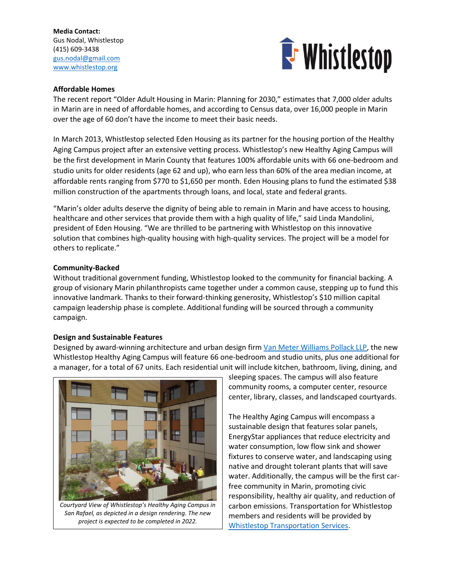**Media Contact:** Gus Nodal, Whistlestop (415) 609-3438 [gus.nodal@gmail.com](mailto:gus.nodal@gmail.com) [www.whistlestop.org](http://www.whistlestop.org/)



## **Affordable Homes**

The recent report "Older Adult Housing in Marin: Planning for 2030," estimates that 7,000 older adults in Marin are in need of affordable homes, and according to Census data, over 16,000 people in Marin over the age of 60 don't have the income to meet their basic needs.

In March 2013, Whistlestop selected Eden Housing as its partner for the housing portion of the Healthy Aging Campus project after an extensive vetting process. Whistlestop's new Healthy Aging Campus will be the first development in Marin County that features 100% affordable units with 66 one-bedroom and studio units for older residents (age 62 and up), who earn less than 60% of the area median income, at affordable rents ranging from \$770 to \$1,650 per month. Eden Housing plans to fund the estimated \$38 million construction of the apartments through loans, and local, state and federal grants.

"Marin's older adults deserve the dignity of being able to remain in Marin and have access to housing, healthcare and other services that provide them with a high quality of life," said Linda Mandolini, president of Eden Housing. "We are thrilled to be partnering with Whistlestop on this innovative solution that combines high-quality housing with high-quality services. The project will be a model for others to replicate."

#### **Community-Backed**

Without traditional government funding, Whistlestop looked to the community for financial backing. A group of visionary Marin philanthropists came together under a common cause, stepping up to fund this innovative landmark. Thanks to their forward-thinking generosity, Whistlestop's \$10 million capital campaign leadership phase is complete. Additional funding will be sourced through a community campaign.

#### **Design and Sustainable Features**

Designed by award-winning architecture and urban design firm [Van Meter Williams Pollack LLP,](https://www.vmwp.com/) the new Whistlestop Healthy Aging Campus will feature 66 one-bedroom and studio units, plus one additional for a manager, for a total of 67 units. Each residential unit will include kitchen, bathroom, living, dining, and



*Courtyard View of Whistlestop's Healthy Aging Campus in San Rafael, as depicted in a design rendering. The new project is expected to be completed in 2022.*

sleeping spaces. The campus will also feature community rooms, a computer center, resource center, library, classes, and landscaped courtyards.

The Healthy Aging Campus will encompass a sustainable design that features solar panels, EnergyStar appliances that reduce electricity and water consumption, low flow sink and shower fixtures to conserve water, and landscaping using native and drought tolerant plants that will save water. Additionally, the campus will be the first carfree community in Marin, promoting civic responsibility, healthy air quality, and reduction of carbon emissions. Transportation for Whistlestop members and residents will be provided by [Whistlestop Transportation Services.](https://whistlestop.org/transportation/)